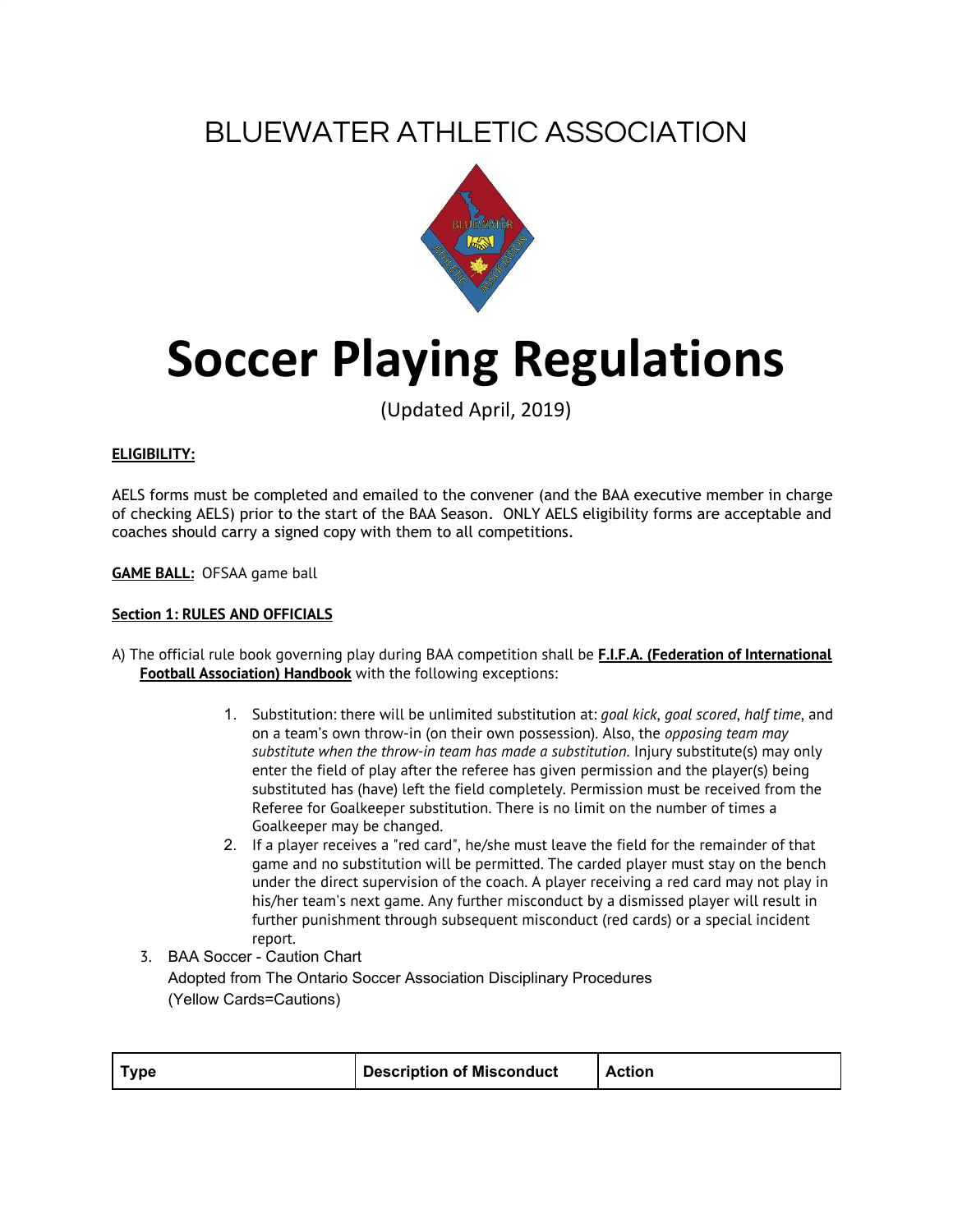## BLUEWATER ATHLETIC ASSOCIATION



# **Soccer Playing Regulations**

(Updated April, 2019)

### **ELIGIBILITY:**

AELS forms must be completed and emailed to the convener (and the BAA executive member in charge of checking AELS) prior to the start of the BAA Season. ONLY AELS eligibility forms are acceptable and coaches should carry a signed copy with them to all competitions.

**GAME BALL:** OFSAA game ball

#### **Section 1: RULES AND OFFICIALS**

- A) The official rule book governing play during BAA competition shall be **F.I.F.A. (Federation of International Football Association) Handbook** with the following exceptions:
	- 1. Substitution: there will be unlimited substitution at: *goal kick*, *goal scored*, *half time*, and on a team's own throw-in (on their own possession). Also, the *opposing team may substitute when the throw-in team has made a substitution*. Injury substitute(s) may only enter the field of play after the referee has given permission and the player(s) being substituted has (have) left the field completely. Permission must be received from the Referee for Goalkeeper substitution. There is no limit on the number of times a Goalkeeper may be changed.
	- 2. If a player receives a "red card", he/she must leave the field for the remainder of that game and no substitution will be permitted. The carded player must stay on the bench under the direct supervision of the coach. A player receiving a red card may not play in his/her team's next game. Any further misconduct by a dismissed player will result in further punishment through subsequent misconduct (red cards) or a special incident report.
	- 3. BAA Soccer Caution Chart Adopted from The Ontario Soccer Association Disciplinary Procedures (Yellow Cards=Cautions)

| <b>Type</b> | Description of Misconduct | <b>Action</b> |
|-------------|---------------------------|---------------|
|-------------|---------------------------|---------------|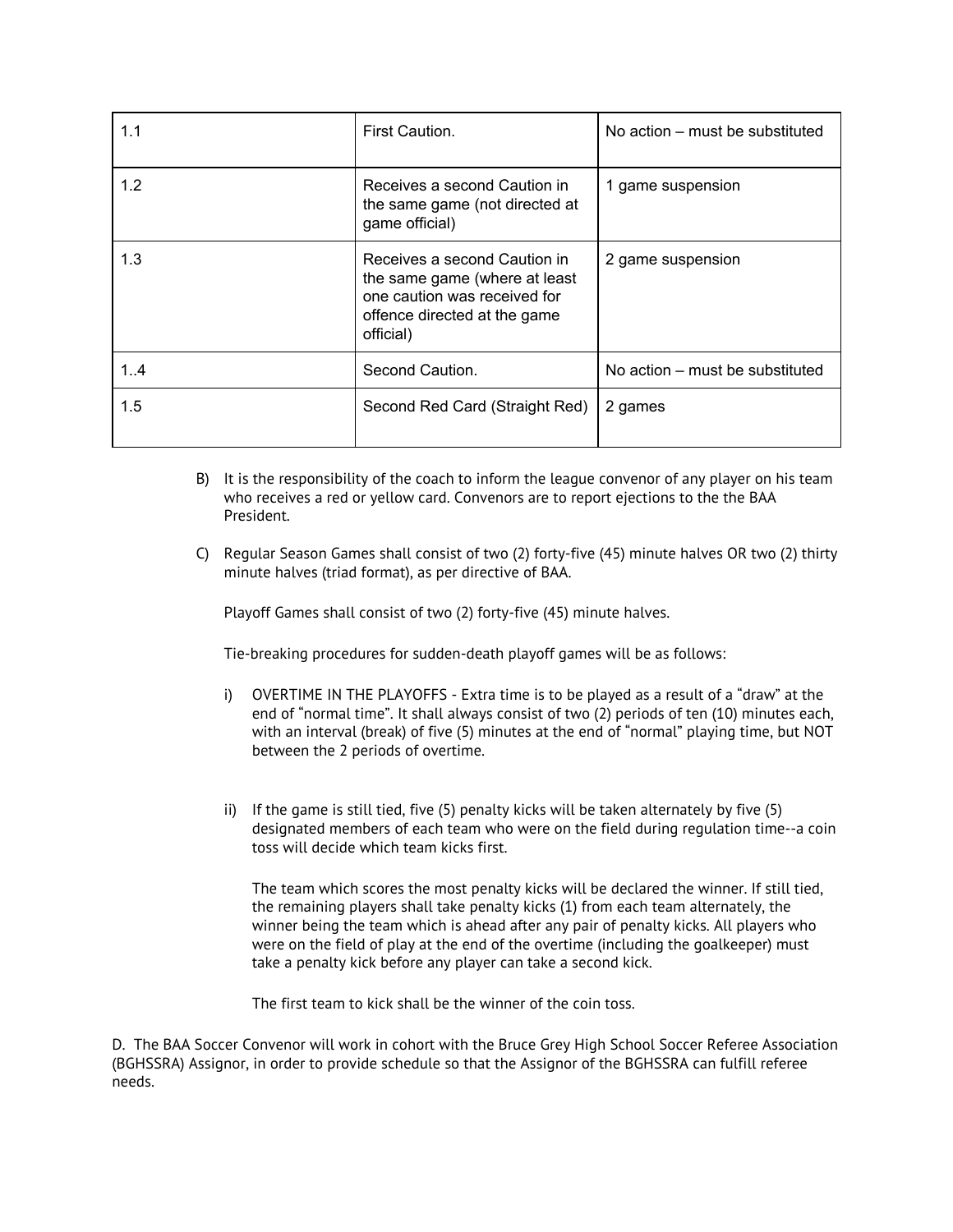| 1.1 | First Caution.                                                                                                                             | No action – must be substituted |
|-----|--------------------------------------------------------------------------------------------------------------------------------------------|---------------------------------|
| 1.2 | Receives a second Caution in<br>the same game (not directed at<br>game official)                                                           | 1 game suspension               |
| 1.3 | Receives a second Caution in<br>the same game (where at least<br>one caution was received for<br>offence directed at the game<br>official) | 2 game suspension               |
| 1.4 | Second Caution.                                                                                                                            | No action – must be substituted |
| 1.5 | Second Red Card (Straight Red)                                                                                                             | 2 games                         |

- B) It is the responsibility of the coach to inform the league convenor of any player on his team who receives a red or yellow card. Convenors are to report ejections to the the BAA President.
- C) Regular Season Games shall consist of two (2) forty-five (45) minute halves OR two (2) thirty minute halves (triad format), as per directive of BAA.

Playoff Games shall consist of two (2) forty-five (45) minute halves.

Tie-breaking procedures for sudden-death playoff games will be as follows:

- i) OVERTIME IN THE PLAYOFFS Extra time is to be played as a result of a "draw" at the end of "normal time". It shall always consist of two (2) periods of ten (10) minutes each, with an interval (break) of five (5) minutes at the end of "normal" playing time, but NOT between the 2 periods of overtime.
- ii) If the game is still tied, five (5) penalty kicks will be taken alternately by five (5) designated members of each team who were on the field during regulation time--a coin toss will decide which team kicks first.

The team which scores the most penalty kicks will be declared the winner. If still tied, the remaining players shall take penalty kicks (1) from each team alternately, the winner being the team which is ahead after any pair of penalty kicks. All players who were on the field of play at the end of the overtime (including the goalkeeper) must take a penalty kick before any player can take a second kick.

The first team to kick shall be the winner of the coin toss.

D. The BAA Soccer Convenor will work in cohort with the Bruce Grey High School Soccer Referee Association (BGHSSRA) Assignor, in order to provide schedule so that the Assignor of the BGHSSRA can fulfill referee needs.